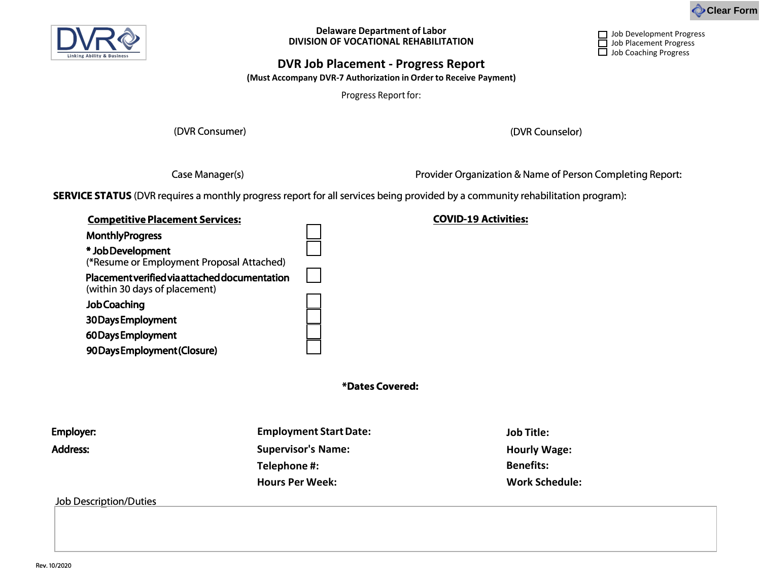

**Delaware Department of Labor DIVISION OF VOCATIONAL REHABILITATION**



Job Development Progress Job Placement Progress Job Coaching Progress

### **DVR Job Placement - Progress Report**

**(Must Accompany DVR-7 Authorization in Order to Receive Payment)**

Progress Report for:

(DVR Consumer) (DVR Counselor)

Case Manager(s) **Provider Organization & Name of Person Completing Report:** 

**SERVICE STATUS** (DVR requires a monthly progress report for all services being provided by a community rehabilitation program):

| <b>Competitive Placement Services:</b>                                         |  |
|--------------------------------------------------------------------------------|--|
| <b>MonthlyProgress</b>                                                         |  |
| * Job Development                                                              |  |
| (*Resume or Employment Proposal Attached)                                      |  |
| Placement verified via attached documentation<br>(within 30 days of placement) |  |
| <b>Job Coaching</b>                                                            |  |
| 30 Days Employment                                                             |  |
| 60 Days Employment                                                             |  |
| 90 Days Employment (Closure)                                                   |  |

**COVID-19 Activities:** 

**\*Dates Covered:**

| <b>Employment Start Date:</b> | <b>Job Title:</b>     |
|-------------------------------|-----------------------|
| <b>Supervisor's Name:</b>     | <b>Hourly Wage:</b>   |
| Telephone #:                  | <b>Benefits:</b>      |
| <b>Hours Per Week:</b>        | <b>Work Schedule:</b> |
|                               |                       |

Job Description/Duties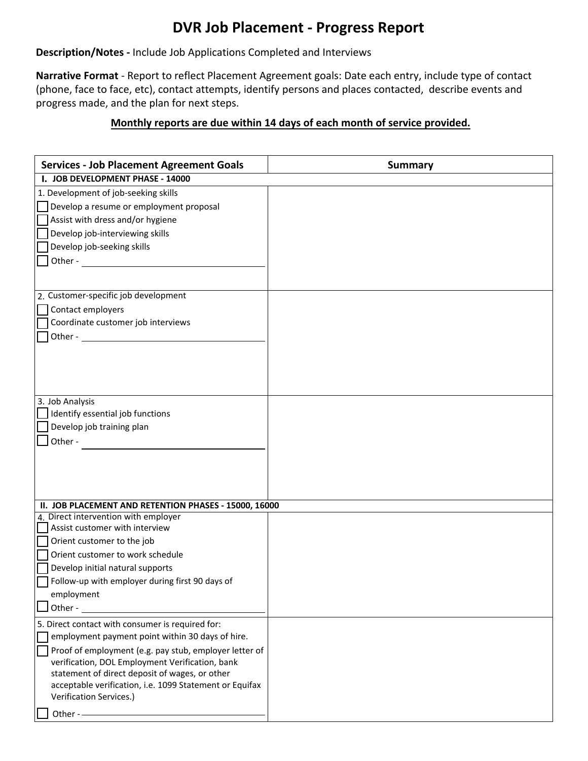## **DVR Job Placement - Progress Report**

#### **Description/Notes -** Include Job Applications Completed and Interviews

**Narrative Format** - Report to reflect Placement Agreement goals: Date each entry, include type of contact (phone, face to face, etc), contact attempts, identify persons and places contacted, describe events and progress made, and the plan for next steps.

#### **Monthly reports are due within 14 days of each month of service provided.**

| <b>Services - Job Placement Agreement Goals</b>                                                           | <b>Summary</b> |
|-----------------------------------------------------------------------------------------------------------|----------------|
| I. JOB DEVELOPMENT PHASE - 14000                                                                          |                |
| 1. Development of job-seeking skills                                                                      |                |
| Develop a resume or employment proposal                                                                   |                |
| Assist with dress and/or hygiene                                                                          |                |
| Develop job-interviewing skills                                                                           |                |
| Develop job-seeking skills                                                                                |                |
|                                                                                                           |                |
|                                                                                                           |                |
| 2. Customer-specific job development                                                                      |                |
| Contact employers                                                                                         |                |
| Coordinate customer job interviews                                                                        |                |
|                                                                                                           |                |
|                                                                                                           |                |
|                                                                                                           |                |
|                                                                                                           |                |
|                                                                                                           |                |
| 3. Job Analysis                                                                                           |                |
| Identify essential job functions                                                                          |                |
| Develop job training plan                                                                                 |                |
| Other -                                                                                                   |                |
|                                                                                                           |                |
|                                                                                                           |                |
|                                                                                                           |                |
|                                                                                                           |                |
| II. JOB PLACEMENT AND RETENTION PHASES - 15000, 16000                                                     |                |
| 4. Direct intervention with employer<br>Assist customer with interview                                    |                |
|                                                                                                           |                |
| Orient customer to the job<br>Orient customer to work schedule                                            |                |
|                                                                                                           |                |
| Develop initial natural supports<br>Follow-up with employer during first 90 days of                       |                |
| employment                                                                                                |                |
| Other -                                                                                                   |                |
|                                                                                                           |                |
| 5. Direct contact with consumer is required for:<br>employment payment point within 30 days of hire.      |                |
|                                                                                                           |                |
| Proof of employment (e.g. pay stub, employer letter of<br>verification, DOL Employment Verification, bank |                |
| statement of direct deposit of wages, or other                                                            |                |
| acceptable verification, i.e. 1099 Statement or Equifax                                                   |                |
| Verification Services.)                                                                                   |                |
| Other --                                                                                                  |                |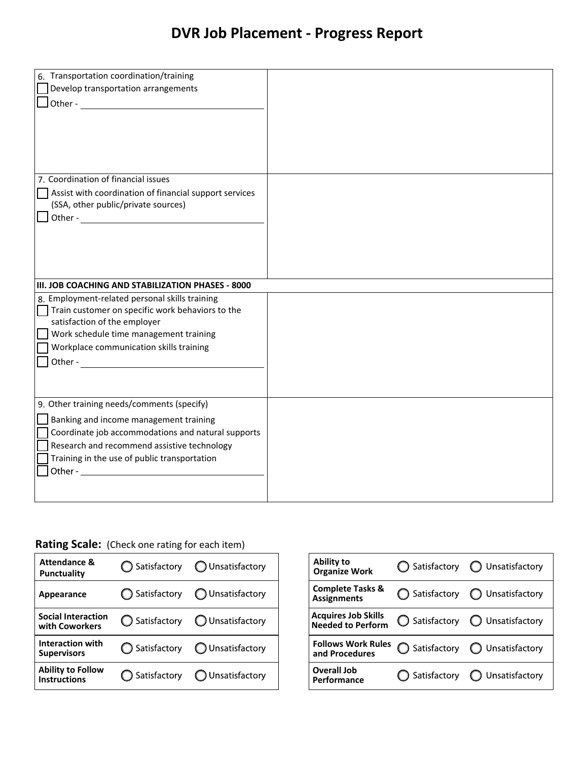# **DVR Job Placement - Progress Report**

| 6. Transportation coordination/training<br>Develop transportation arrangements                                                                                                                                                            |  |
|-------------------------------------------------------------------------------------------------------------------------------------------------------------------------------------------------------------------------------------------|--|
| 7. Coordination of financial issues<br>Assist with coordination of financial support services<br>(SSA, other public/private sources)                                                                                                      |  |
| III. JOB COACHING AND STABILIZATION PHASES - 8000<br>8. Employment-related personal skills training                                                                                                                                       |  |
| Train customer on specific work behaviors to the<br>satisfaction of the employer<br>Work schedule time management training<br>Workplace communication skills training<br>Other -                                                          |  |
| 9. Other training needs/comments (specify)<br>Banking and income management training<br>Coordinate job accommodations and natural supports<br>Research and recommend assistive technology<br>Training in the use of public transportation |  |

#### **Rating Scale:** (Check one rating for each item)

| <b>Attendance &amp;</b><br>Punctuality          | $\bigcirc$ Satisfactory $\bigcirc$ Unsatisfactory |
|-------------------------------------------------|---------------------------------------------------|
| Appearance                                      | $\bigcap$ Satisfactory $\bigcap$ Unsatisfactory   |
| <b>Social Interaction</b><br>with Coworkers     | ◯ Satisfactory ◯ Unsatisfactory                   |
| Interaction with<br><b>Supervisors</b>          | $\bigcirc$ Satisfactory $\bigcirc$ Unsatisfactory |
| <b>Ability to Follow</b><br><b>Instructions</b> | $\bigcirc$ Satisfactory $\bigcirc$ Unsatisfactory |

| Ability to<br><b>Organize Work</b>                     | $\bigcirc$ Satisfactory $\bigcirc$ Unsatisfactory |
|--------------------------------------------------------|---------------------------------------------------|
| <b>Complete Tasks &amp;</b><br><b>Assignments</b>      | ◯ Satisfactory ◯ Unsatisfactory                   |
| <b>Acquires Job Skills</b><br><b>Needed to Perform</b> | ◯ Satisfactory ◯ Unsatisfactory                   |
| <b>Follows Work Rules</b><br>and Procedures            | Satisfactory $\bigcirc$ Unsatisfactory            |
| Overall Job<br>Performance                             | $\bigcirc$ Satisfactory $\bigcirc$ Unsatisfactory |